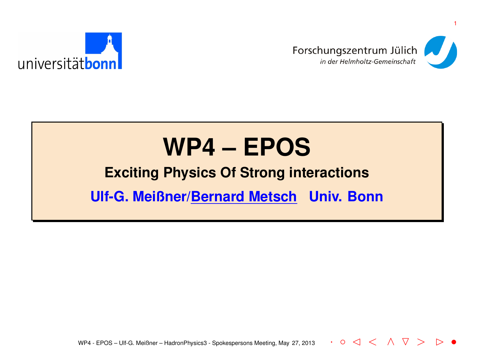<span id="page-0-1"></span>

Forschungszentrum Jülich in der Helmholtz-Gemeinschaft

# **WP4 – EPOS**

#### **Exciting Physics Of Strong interactions**

#### **Ulf-G. Meißner/Bernard Metsch Univ. Bonn**

<span id="page-0-0"></span>WP4 - EP[O](#page-0-0)S – Ulf-G. Meißner – HadronPhysics3 - Spokespersons Meeting, May 27, 2013  $\cdot \circ \triangleleft \leq \wedge \nabla \geq 0$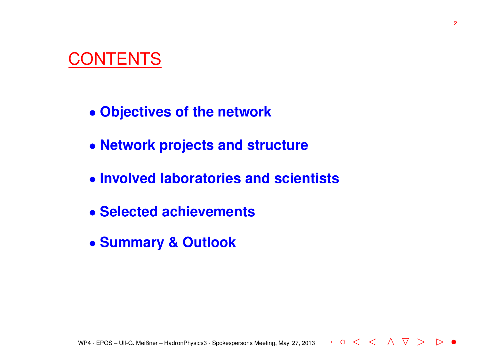#### **CONTENTS**

- **Objectives of the network**
- **Network projects and structure**
- **Involved laboratories and scientists**
- **Selected achievements**
- <span id="page-1-0"></span>• **Summary & Outlook**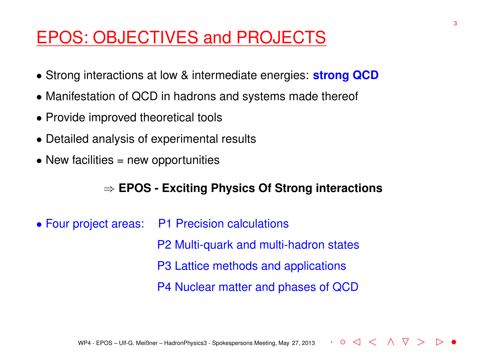### EPOS: OBJECTIVES and PROJECTS

- Strong interactions at low & intermediate energies: **strong QCD**
- Manifestation of QCD in hadrons and systems made thereof
- Provide improved theoretical tools
- Detailed analysis of experimental results
- New facilities  $=$  new opportunities

#### ⇒ **EPOS - Exciting Physics Of Strong interactions**

<span id="page-2-0"></span>• Four project areas: P1 Precision calculations P2 Multi-quark and multi-hadron states P3 Lattice methods and applications P4 Nuclear matter and phases of QCD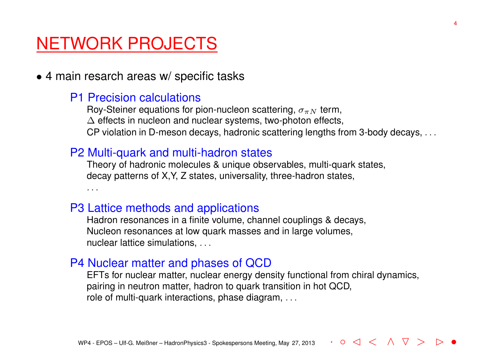#### NETWORK PROJECTS

#### • 4 main resarch areas w/ specific tasks

#### P1 Precision calculations

Roy-Steiner equations for pion-nucleon scattering,  $\sigma_{\pi N}$  term, ∆ effects in nucleon and nuclear systems, two-photon effects, CP violation in D-meson decays, hadronic scattering lengths from 3-body decays, . . .

#### P2 Multi-quark and multi-hadron states

Theory of hadronic molecules & unique observables, multi-quark states, decay patterns of X,Y, Z states, universality, three-hadron states,

. . .

#### P3 Lattice methods and applications

Hadron resonances in a finite volume, channel couplings & decays, Nucleon resonances at low quark masses and in large volumes, nuclear lattice simulations, . . .

#### <span id="page-3-0"></span>P4 Nuclear matter and phases of QCD

EFTs for nuclear matter, nuclear energy density functional from chiral dynamics, pairing in neutron matter, hadron to quark transition in hot QCD, role of multi-quark interactions, phase diagram, . . .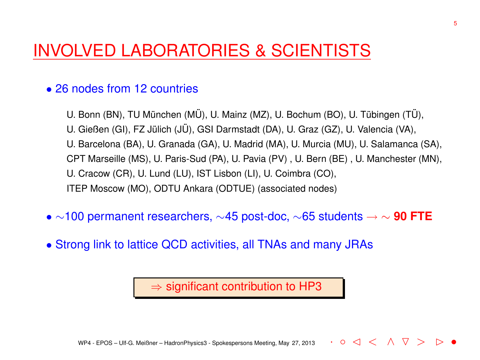#### INVOLVED LABORATORIES & SCIENTISTS

#### • 26 nodes from 12 countries

U. Bonn (BN), TU München (MÜ), U. Mainz (MZ), U. Bochum (BO), U. Tübingen (TÜ), U. Gießen (GI), FZ Jülich (JÜ), GSI Darmstadt (DA), U. Graz (GZ), U. Valencia (VA), U. Barcelona (BA), U. Granada (GA), U. Madrid (MA), U. Murcia (MU), U. Salamanca (SA), CPT Marseille (MS), U. Paris-Sud (PA), U. Pavia (PV) , U. Bern (BE) , U. Manchester (MN), U. Cracow (CR), U. Lund (LU), IST Lisbon (LI), U. Coimbra (CO), ITEP Moscow (MO), ODTU Ankara (ODTUE) (associated nodes)

- ∼100 permanent researchers, ∼45 post-doc, ∼65 students → ∼ **90 FTE**
- <span id="page-4-0"></span>• Strong link to lattice QCD activities, all TNAs and many JRAs

 $\Rightarrow$  significant contribution to HP3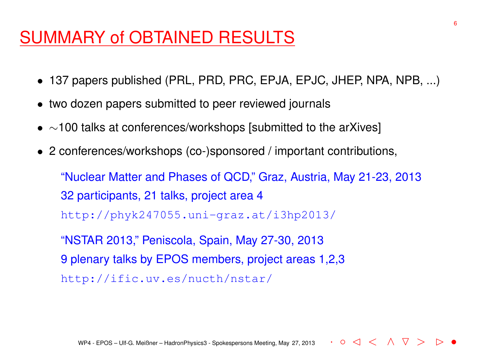### SUMMARY of OBTAINED RESULTS

- 137 papers published (PRL, PRD, PRC, EPJA, EPJC, JHEP, NPA, NPB, ...)
- two dozen papers submitted to peer reviewed journals
- $\sim$ 100 talks at conferences/workshops [submitted to the arXives]
- 2 conferences/workshops (co-)sponsored / important contributions,

"Nuclear Matter and Phases of QCD," Graz, Austria, May 21-23, 2013 32 participants, 21 talks, project area 4 http://phyk247055.uni-graz.at/i3hp2013/

<span id="page-5-0"></span>"NSTAR 2013," Peniscola, Spain, May 27-30, 2013 9 plenary talks by EPOS members, project areas 1,2,3 http://ific.uv.es/nucth/nstar/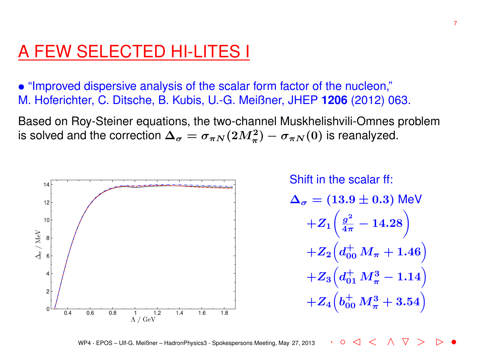#### A FEW SELECTED HI-LITES I

• "Improved dispersive analysis of the scalar form factor of the nucleon," M. Hoferichter, C. Ditsche, B. Kubis, U.-G. Meißner, JHEP **1206** (2012) 063.

Based on Roy-Steiner equations, the two-channel Muskhelishvili-Omnes problem is solved and the correction  $\Delta_\sigma = \sigma_{\pi N} (2 M_\pi^2) - \sigma_{\pi N} (0)$  is reanalyzed.



Shift in the scalar ff:  $\Delta_\sigma=(13.9\pm0.3)$  MeV  $+Z_1$  $\int g^2$  $\left(\frac{g^2}{4\pi}-14.28\right)$  $+Z_2$  $\sqrt{ }$  $d^+_{00}\,M_\pi + 1.46\Big)$  $+Z_3$  $\sqrt{ }$  $d^+_{01} \, M_\pi^3 - 1.14 \Bigr)$  $+Z_4$  $\sqrt{ }$  $b^+_{00} \, M_\pi^3 + 3.54 \Big)$ 

<span id="page-6-0"></span>WP4 - EP[O](#page-6-0)S – Ulf-G. Meißner – HadronPhysics3 - Spokespersons Meeting, May 27, 2013  $\cdot \cdot \circ \leq \wedge \nabla$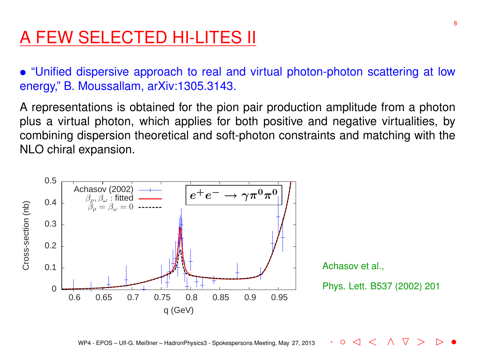# A FEW SELECTED HI-LITES II

• "Unified dispersive approach to real and virtual photon-photon scattering at low energy," B. Moussallam, arXiv:1305.3143.

A representations is obtained for the pion pair production amplitude from a photon plus a virtual photon, which applies for both positive and negative virtualities, by combining dispersion theoretical and soft-photon constraints and matching with the NLO chiral expansion.

<span id="page-7-0"></span>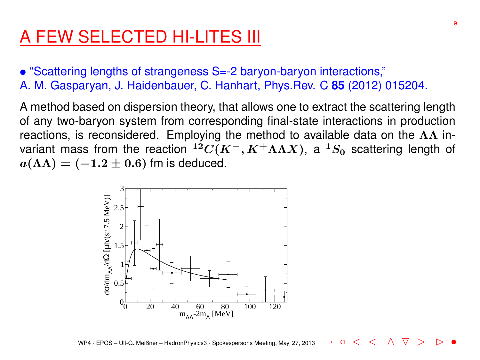### A FEW SELECTED HI-LITES III

• "Scattering lengths of strangeness S=-2 baryon-baryon interactions," A. M. Gasparyan, J. Haidenbauer, C. Hanhart, Phys.Rev. C **85** (2012) 015204.

A method based on dispersion theory, that allows one to extract the scattering length of any two-baryon system from corresponding final-state interactions in production reactions, is reconsidered. Employing the method to available data on the  $\Lambda\Lambda$  invariant mass from the reaction  $^{12}C(K^-, K^+ \Lambda \Lambda X)$ , a  $^{1}S_{0}$  scattering length of  $a(\Lambda\Lambda) = (-1.2 \pm 0.6)$  fm is deduced.

<span id="page-8-0"></span>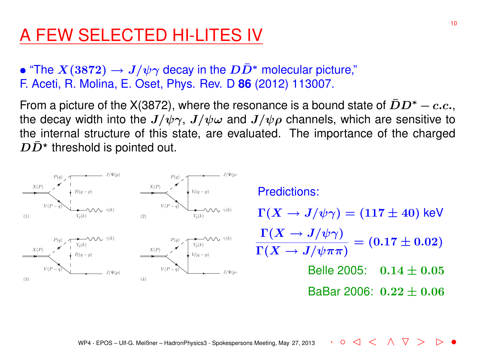### A FEW SELECTED HI-LITES IV

• "The  $X(3872) \to J/\psi \gamma$  decay in the  $D\bar{D}^*$  molecular picture," F. Aceti, R. Molina, E. Oset, Phys. Rev. D **86** (2012) 113007.

From a picture of the X(3872), where the resonance is a bound state of  $\bar{D}D^* - c.c.,$ the decay width into the  $J/\psi \gamma$ ,  $J/\psi \omega$  and  $J/\psi \rho$  channels, which are sensitive to the internal structure of this state, are evaluated. The importance of the charged  $D\bar{D}^{\star}$  threshold is pointed out.



<span id="page-9-0"></span>WP4 - EP[O](#page-9-0)S – Ulf-G. Meißner – HadronPhysics3 - Spokespersons Meeting, May 27, 2013  $\cdot \circ \triangleleft \leq \wedge \nabla \geq$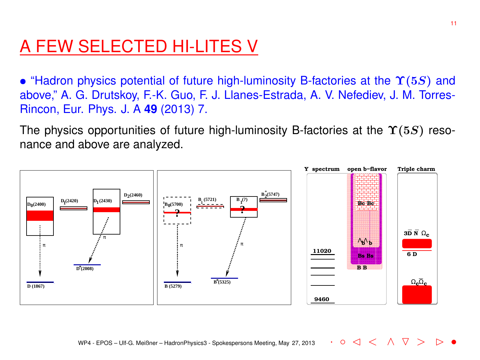#### A FEW SELECTED HI-LITES V

• "Hadron physics potential of future high-luminosity B-factories at the  $\Upsilon(5S)$  and above," A. G. Drutskoy, F.-K. Guo, F. J. Llanes-Estrada, A. V. Nefediev, J. M. Torres-Rincon, Eur. Phys. J. A **49** (2013) 7.

The physics opportunities of future high-luminosity B-factories at the  $\Upsilon(5S)$  resonance and above are analyzed.

<span id="page-10-0"></span>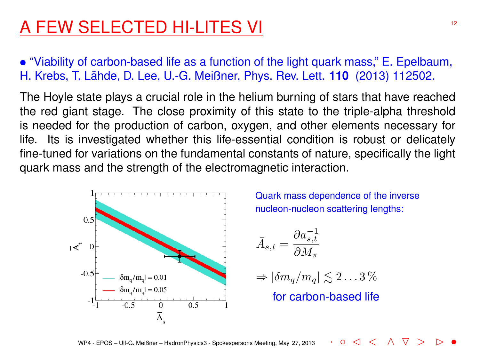### A FEW SELECTED HI-LITES VI THE MINIMUM OF THE MINIMUM OF THE MINIMUM OF THE MINIMUM OF THE MINIMUM OF THE MINIMUM OF THE MINIMUM OF THE MINIMUM OF THE MINIMUM OF THE MINIMUM OF THE MINIMUM OF THE MINIMUM OF THE MINIMUM OF

• "Viability of carbon-based life as a function of the light quark mass," E. Epelbaum, H. Krebs, T. Lahde, D. Lee, U.-G. Meißner, Phys. Rev. Lett. ¨ **110** (2013) 112502.

The Hoyle state plays a crucial role in the helium burning of stars that have reached the red giant stage. The close proximity of this state to the triple-alpha threshold is needed for the production of carbon, oxygen, and other elements necessary for life. Its is investigated whether this life-essential condition is robust or delicately fine-tuned for variations on the fundamental constants of nature, specifically the light quark mass and the strength of the electromagnetic interaction.



Quark mass dependence of the inverse nucleon-nucleon scattering lengths:

$$
\bar{A}_{s,t} = \frac{\partial a_{s,t}^{-1}}{\partial M_{\pi}}
$$

$$
\Rightarrow |\delta m_q/m_q| \lesssim 2 \dots 3 \%
$$
  
for carbon-based life

<span id="page-11-0"></span>WP4 - EP[O](#page-11-0)S – Ulf-G. Meißner – HadronPhysics3 - Spokespersons Meeting, May 27, 2013  $\cdot \cdot \circ \prec \prec \wedge \nabla >$  $\cdot \cdot \circ \prec \prec \wedge \nabla >$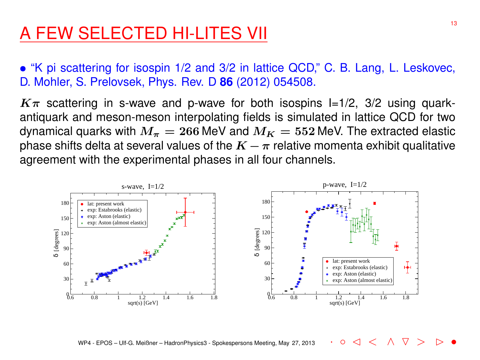### A FEW SELECTED HI-LITES VII

• "K pi scattering for isospin 1/2 and 3/2 in lattice QCD," C. B. Lang, L. Leskovec, D. Mohler, S. Prelovsek, Phys. Rev. D **86** (2012) 054508.

 $K\pi$  scattering in s-wave and p-wave for both isospins I=1/2, 3/2 using quarkantiquark and meson-meson interpolating fields is simulated in lattice QCD for two dynamical quarks with  $M_{\pi} = 266$  MeV and  $M_K = 552$  MeV. The extracted elastic phase shifts delta at several values of the  $K - \pi$  relative momenta exhibit qualitative agreement with the experimental phases in all four channels.

<span id="page-12-0"></span>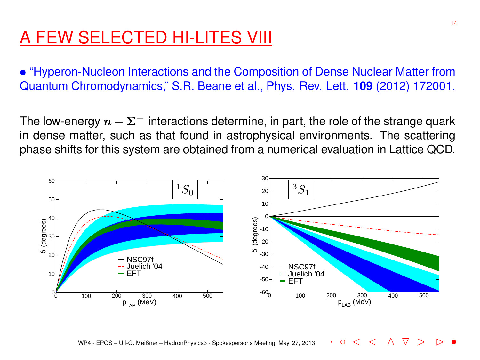## A FEW SELECTED HI-LITES VIII

• "Hyperon-Nucleon Interactions and the Composition of Dense Nuclear Matter from Quantum Chromodynamics," S.R. Beane et al., Phys. Rev. Lett. **109** (2012) 172001.

The low-energy  $n - \Sigma^-$  interactions determine, in part, the role of the strange quark in dense matter, such as that found in astrophysical environments. The scattering phase shifts for this system are obtained from a numerical evaluation in Lattice QCD.

<span id="page-13-0"></span>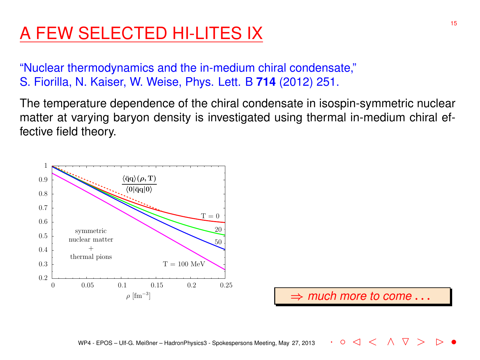## A FEW SELECTED HI-LITES IX

"Nuclear thermodynamics and the in-medium chiral condensate," S. Fiorilla, N. Kaiser, W. Weise, Phys. Lett. B **714** (2012) 251.

The temperature dependence of the chiral condensate in isospin-symmetric nuclear matter at varying baryon density is investigated using thermal in-medium chiral effective field theory.



⇒ *much more to come* . . .

<span id="page-14-0"></span>WP4 - EP[O](#page-14-0)S – Ulf-G. Meißner – HadronPhysics3 - Spokespersons Meeting, May 27, 2013  $\cdot \cdot \circ \triangleleft \leq \wedge \nabla$